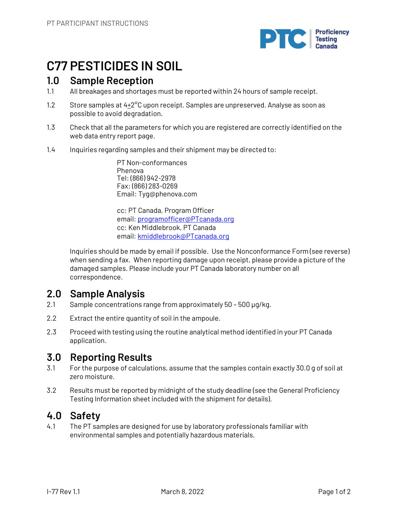

# **C77 PESTICIDES IN SOIL**

## **1.0 Sample Reception**

- 1.1 All breakages and shortages must be reported within 24 hours of sample receipt.
- 1.2 Store samples at  $4+2^{\circ}$ C upon receipt. Samples are unpreserved. Analyse as soon as possible to avoid degradation.
- 1.3 Check that all the parameters for which you are registered are correctly identified on the web data entry report page.
- 1.4 Inquiries regarding samples and their shipment may be directed to:

PT Non-conformances Phenova Tel: (866) 942-2978 Fax: (866) 283-0269 Email: Tyg@phenova.com

cc: PT Canada, Program Officer email: programofficer@PTcanada.org cc: Ken Middlebrook, PT Canada email: kmiddlebrook@PTcanada.org

Inquiries should be made by email if possible. Use the Nonconformance Form (see reverse) when sending a fax. When reporting damage upon receipt, please provide a picture of the damaged samples. Please include your PT Canada laboratory number on all correspondence.

# **2.0 Sample Analysis**

- 2.1 Sample concentrations range from approximately 50 500 µg/kg.
- 2.2 Extract the entire quantity of soil in the ampoule.
- 2.3 Proceed with testing using the routine analytical method identified in your PT Canada application.

# **3.0 Reporting Results**

- 3.1 For the purpose of calculations, assume that the samples contain exactly 30.0 g of soil at zero moisture.
- 3.2 Results must be reported by midnight of the study deadline (see the General Proficiency Testing Information sheet included with the shipment for details).

# **4.0 Safety**

4.1 The PT samples are designed for use by laboratory professionals familiar with environmental samples and potentially hazardous materials.